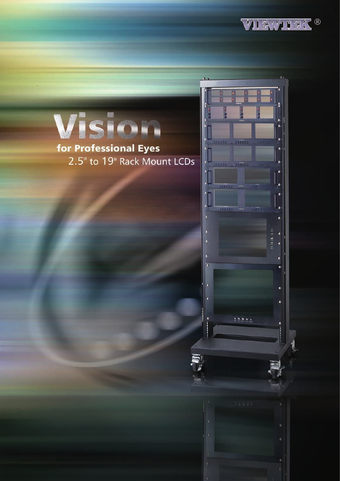



## for Professional Eyes 2.5" to 19" Rack Mount LCDs

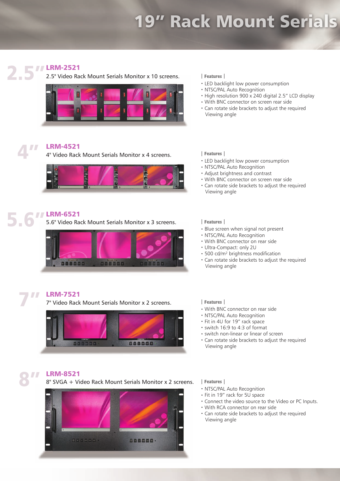# 19" Rack Mount Serials



### **TT LRM-2521**

2.5" 2.5" Video Rack Mount Serials Monitor x 10 screens.



### LRM-4521 4"

4" Video Rack Mount Serials Monitor x 4 screens.



### **TT LRM-6521** 5.6"

5.6" Video Rack Mount Serials Monitor x 3 screens.



### LRM-7521 7"

7" Video Rack Mount Serials Monitor x 2 screens.



### │**Features**│

- ‧LED backlight low power consumption
- ‧NTSC/PAL Auto Recognition
- High resolution 900 x 240 digital 2.5" LCD display
- ‧With BNC connector on screen rear side
- ‧Can rotate side brackets to adjust the required Viewing angle

│**Features**│

- ‧LED backlight low power consumption
- ‧NTSC/PAL Auto Recognition
- ‧Adjust brightness and contrast
- ‧With BNC connector on screen rear side
- ‧Can rotate side brackets to adjust the required Viewing angle

│**Features**│

- ‧Blue screen when signal not present
- ‧NTSC/PAL Auto Recognition
- ‧With BNC connector on rear side
- ‧Ultra-Compact: only 2U
- ‧500 cd/m² brightness modification
- ‧Can rotate side brackets to adjust the required Viewing angle

│**Features**│

- ‧With BNC connector on rear side
- ‧NTSC/PAL Auto Recognition
- ‧Fit in 4U for 19" rack space
- ‧switch 16:9 to 4:3 of format
- ‧switch non-linear or linear of screen
- ‧Can rotate side brackets to adjust the required Viewing angle

### LRM-8521 8"

8" SVGA + Video Rack Mount Serials Monitor x 2 screens.



│**Features**│

- ‧NTSC/PAL Auto Recognition
- ‧Fit in 19" rack for 5U space
- ‧Connect the video source to the Video or PC Inputs.
- ‧With RCA connector on rear side
- ‧Can rotate side brackets to adjust the required Viewing angle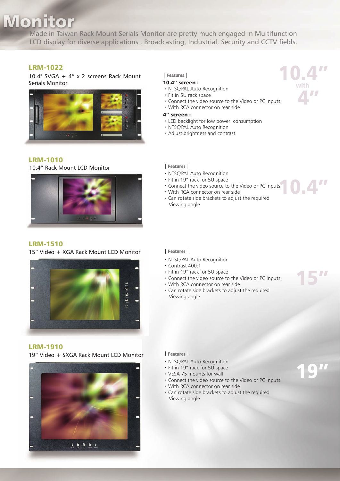# **Monitor**

Made in Taiwan Rack Mount Serials Monitor are pretty much engaged in Multifunction LCD display for diverse applications , Broadcasting, Industrial, Security and CCTV fields.

### LRM-1022

10.4" SVGA + 4" x 2 screens Rack Mount Serials Monitor



### LRM-1010

10.4" Rack Mount LCD Monitor

### LRM-1510

15" Video + XGA Rack Mount LCD Monitor



### LRM-1910

19" Video + SXGA Rack Mount LCD Monitor



│**Features**│

### 10.4" screen :

- ‧NTSC/PAL Auto Recognition
- ‧Fit in 5U rack space
- ‧Connect the video source to the Video or PC Inputs.
- ‧With RCA connector on rear side
- 4" screen :
- ‧LED backlight for low power consumption
- ‧NTSC/PAL Auto Recognition
- ‧Adjust brightness and contrast
- │**Features**│
- ‧NTSC/PAL Auto Recognition
- ‧Fit in 19" rack for 5U space
- ‧Connect the video source to the Video or PC Inputs.
- ‧With RCA connector on rear side
- ‧Can rotate side brackets to adjust the required Viewing angle
- │**Features**│
- ‧NTSC/PAL Auto Recognition
- ‧Contrast 400:1
- ‧Fit in 19" rack for 5U space
- ‧Connect the video source to the Video or PC Inputs.
- ‧With RCA connector on rear side
- ‧Can rotate side brackets to adjust the required Viewing angle

- │**Features**│
- ‧NTSC/PAL Auto Recognition
- ‧Fit in 19" rack for 5U space
- ‧VESA 75 mounts for wall
- ‧Connect the video source to the Video or PC Inputs.
- ‧With RCA connector on rear side
- ‧Can rotate side brackets to adjust the required Viewing angle



10.4"

15"

19"